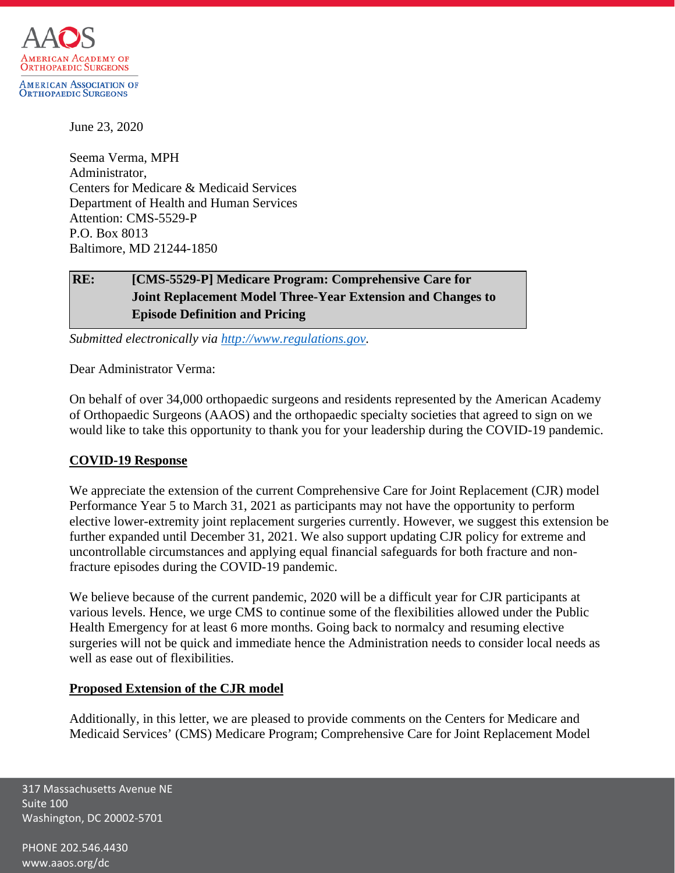

June 23, 2020

Seema Verma, MPH Administrator, Centers for Medicare & Medicaid Services Department of Health and Human Services Attention: CMS-5529-P P.O. Box 8013 Baltimore, MD 21244-1850

# **RE: [CMS-5529-P] Medicare Program: Comprehensive Care for Joint Replacement Model Three-Year Extension and Changes to Episode Definition and Pricing**

*Submitted electronically via [http://www.regulations.gov.](http://www.regulations.gov/)*

Dear Administrator Verma:

On behalf of over 34,000 orthopaedic surgeons and residents represented by the American Academy of Orthopaedic Surgeons (AAOS) and the orthopaedic specialty societies that agreed to sign on we would like to take this opportunity to thank you for your leadership during the COVID-19 pandemic.

### **COVID-19 Response**

We appreciate the extension of the current Comprehensive Care for Joint Replacement (CJR) model Performance Year 5 to March 31, 2021 as participants may not have the opportunity to perform elective lower-extremity joint replacement surgeries currently. However, we suggest this extension be further expanded until December 31, 2021. We also support updating CJR policy for extreme and uncontrollable circumstances and applying equal financial safeguards for both fracture and nonfracture episodes during the COVID-19 pandemic.

We believe because of the current pandemic, 2020 will be a difficult year for CJR participants at various levels. Hence, we urge CMS to continue some of the flexibilities allowed under the Public Health Emergency for at least 6 more months. Going back to normalcy and resuming elective surgeries will not be quick and immediate hence the Administration needs to consider local needs as well as ease out of flexibilities.

### **Proposed Extension of the CJR model**

Additionally, in this letter, we are pleased to provide comments on the Centers for Medicare and Medicaid Services' (CMS) Medicare Program; Comprehensive Care for Joint Replacement Model

317 Massachusetts Avenue NE Suite 100 Washington, DC 20002-5701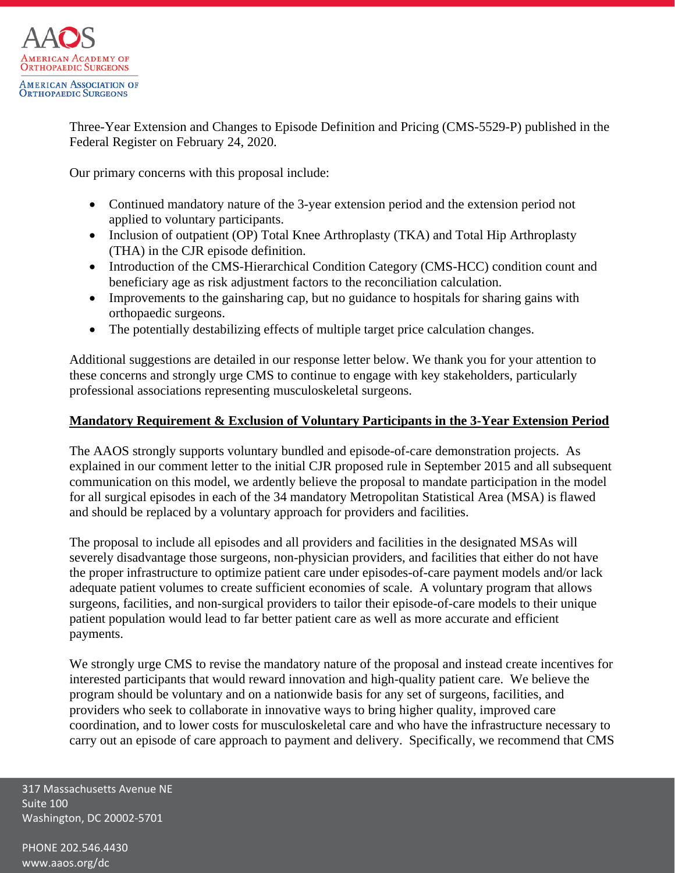

Three-Year Extension and Changes to Episode Definition and Pricing (CMS-5529-P) published in the Federal Register on February 24, 2020.

Our primary concerns with this proposal include:

- Continued mandatory nature of the 3-year extension period and the extension period not applied to voluntary participants.
- Inclusion of outpatient (OP) Total Knee Arthroplasty (TKA) and Total Hip Arthroplasty (THA) in the CJR episode definition.
- Introduction of the CMS-Hierarchical Condition Category (CMS-HCC) condition count and beneficiary age as risk adjustment factors to the reconciliation calculation.
- Improvements to the gains haring cap, but no guidance to hospitals for sharing gains with orthopaedic surgeons.
- The potentially destabilizing effects of multiple target price calculation changes.

Additional suggestions are detailed in our response letter below. We thank you for your attention to these concerns and strongly urge CMS to continue to engage with key stakeholders, particularly professional associations representing musculoskeletal surgeons.

### **Mandatory Requirement & Exclusion of Voluntary Participants in the 3-Year Extension Period**

The AAOS strongly supports voluntary bundled and episode-of-care demonstration projects. As explained in our comment letter to the initial CJR proposed rule in September 2015 and all subsequent communication on this model, we ardently believe the proposal to mandate participation in the model for all surgical episodes in each of the 34 mandatory Metropolitan Statistical Area (MSA) is flawed and should be replaced by a voluntary approach for providers and facilities.

The proposal to include all episodes and all providers and facilities in the designated MSAs will severely disadvantage those surgeons, non-physician providers, and facilities that either do not have the proper infrastructure to optimize patient care under episodes-of-care payment models and/or lack adequate patient volumes to create sufficient economies of scale. A voluntary program that allows surgeons, facilities, and non-surgical providers to tailor their episode-of-care models to their unique patient population would lead to far better patient care as well as more accurate and efficient payments.

We strongly urge CMS to revise the mandatory nature of the proposal and instead create incentives for interested participants that would reward innovation and high-quality patient care. We believe the program should be voluntary and on a nationwide basis for any set of surgeons, facilities, and providers who seek to collaborate in innovative ways to bring higher quality, improved care coordination, and to lower costs for musculoskeletal care and who have the infrastructure necessary to carry out an episode of care approach to payment and delivery. Specifically, we recommend that CMS

317 Massachusetts Avenue NE Suite 100 Washington, DC 20002-5701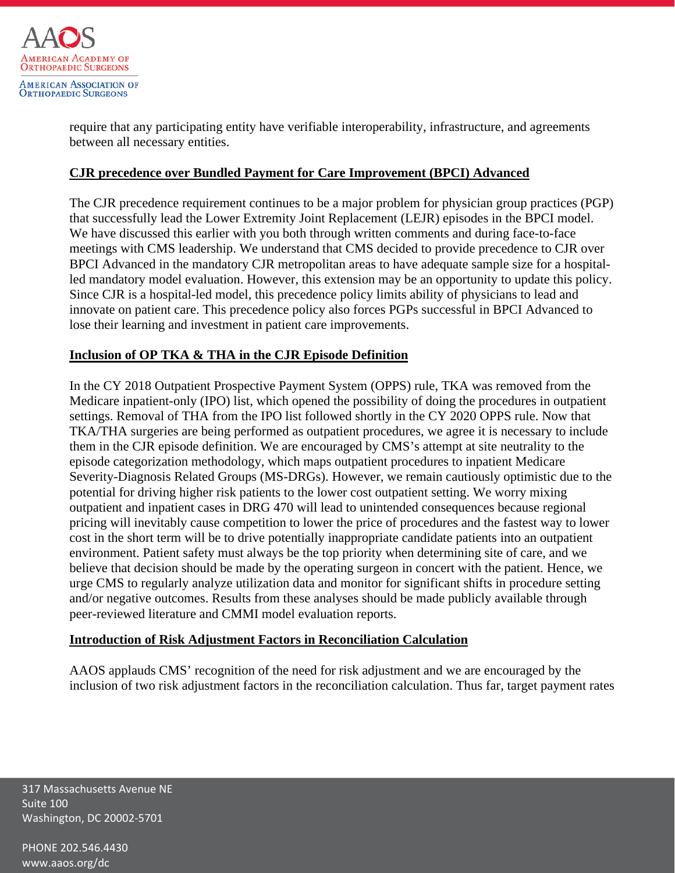

require that any participating entity have verifiable interoperability, infrastructure, and agreements between all necessary entities.

### **CJR precedence over Bundled Payment for Care Improvement (BPCI) Advanced**

The CJR precedence requirement continues to be a major problem for physician group practices (PGP) that successfully lead the Lower Extremity Joint Replacement (LEJR) episodes in the BPCI model. We have discussed this earlier with you both through written comments and during face-to-face meetings with CMS leadership. We understand that CMS decided to provide precedence to CJR over BPCI Advanced in the mandatory CJR metropolitan areas to have adequate sample size for a hospitalled mandatory model evaluation. However, this extension may be an opportunity to update this policy. Since CJR is a hospital-led model, this precedence policy limits ability of physicians to lead and innovate on patient care. This precedence policy also forces PGPs successful in BPCI Advanced to lose their learning and investment in patient care improvements.

### **Inclusion of OP TKA & THA in the CJR Episode Definition**

In the CY 2018 Outpatient Prospective Payment System (OPPS) rule, TKA was removed from the Medicare inpatient-only (IPO) list, which opened the possibility of doing the procedures in outpatient settings. Removal of THA from the IPO list followed shortly in the CY 2020 OPPS rule. Now that TKA/THA surgeries are being performed as outpatient procedures, we agree it is necessary to include them in the CJR episode definition. We are encouraged by CMS's attempt at site neutrality to the episode categorization methodology, which maps outpatient procedures to inpatient Medicare Severity-Diagnosis Related Groups (MS-DRGs). However, we remain cautiously optimistic due to the potential for driving higher risk patients to the lower cost outpatient setting. We worry mixing outpatient and inpatient cases in DRG 470 will lead to unintended consequences because regional pricing will inevitably cause competition to lower the price of procedures and the fastest way to lower cost in the short term will be to drive potentially inappropriate candidate patients into an outpatient environment. Patient safety must always be the top priority when determining site of care, and we believe that decision should be made by the operating surgeon in concert with the patient. Hence, we urge CMS to regularly analyze utilization data and monitor for significant shifts in procedure setting and/or negative outcomes. Results from these analyses should be made publicly available through peer-reviewed literature and CMMI model evaluation reports.

#### **Introduction of Risk Adjustment Factors in Reconciliation Calculation**

AAOS applauds CMS' recognition of the need for risk adjustment and we are encouraged by the inclusion of two risk adjustment factors in the reconciliation calculation. Thus far, target payment rates

317 Massachusetts Avenue NE Suite 100 Washington, DC 20002-5701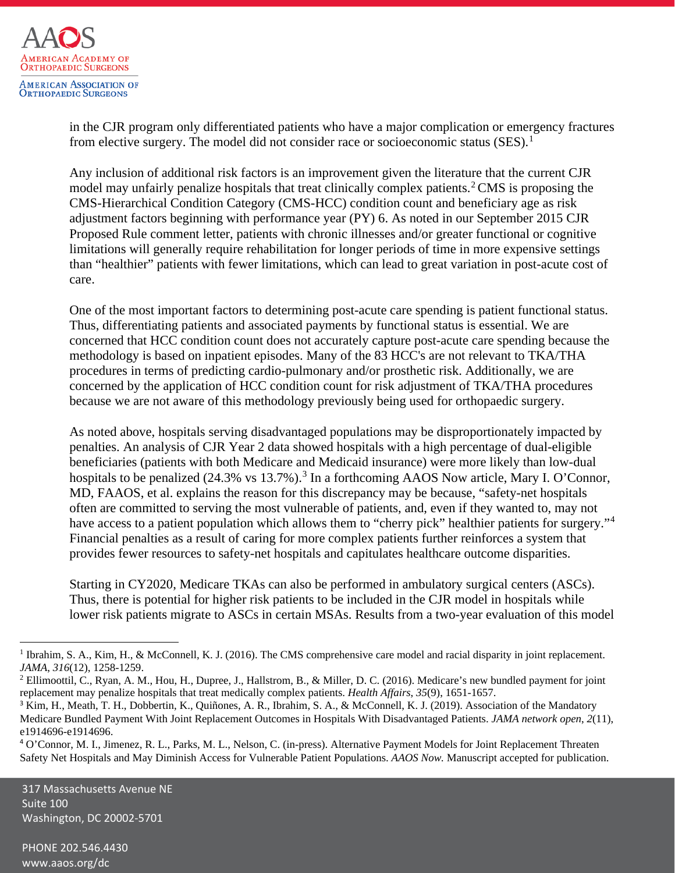

in the CJR program only differentiated patients who have a major complication or emergency fractures from elective surgery. The model did not consider race or socioeconomic status  $(SES)^1$  $(SES)^1$ 

Any inclusion of additional risk factors is an improvement given the literature that the current CJR model may unfairly penalize hospitals that treat clinically complex patients.<sup>[2](#page-3-1)</sup> CMS is proposing the CMS-Hierarchical Condition Category (CMS-HCC) condition count and beneficiary age as risk adjustment factors beginning with performance year (PY) 6. As noted in our September 2015 CJR Proposed Rule comment letter, patients with chronic illnesses and/or greater functional or cognitive limitations will generally require rehabilitation for longer periods of time in more expensive settings than "healthier" patients with fewer limitations, which can lead to great variation in post-acute cost of care.

One of the most important factors to determining post-acute care spending is patient functional status. Thus, differentiating patients and associated payments by functional status is essential. We are concerned that HCC condition count does not accurately capture post-acute care spending because the methodology is based on inpatient episodes. Many of the 83 HCC's are not relevant to TKA/THA procedures in terms of predicting cardio-pulmonary and/or prosthetic risk. Additionally, we are concerned by the application of HCC condition count for risk adjustment of TKA/THA procedures because we are not aware of this methodology previously being used for orthopaedic surgery.

As noted above, hospitals serving disadvantaged populations may be disproportionately impacted by penalties. An analysis of CJR Year 2 data showed hospitals with a high percentage of dual-eligible beneficiaries (patients with both Medicare and Medicaid insurance) were more likely than low-dual hospitals to be penalized (24.[3](#page-3-2)% vs 13.7%).<sup>3</sup> In a forthcoming AAOS Now article, Mary I. O'Connor, MD, FAAOS, et al. explains the reason for this discrepancy may be because, "safety-net hospitals often are committed to serving the most vulnerable of patients, and, even if they wanted to, may not have access to a patient population which allows them to "cherry pick" healthier patients for surgery."<sup>[4](#page-3-3)</sup> Financial penalties as a result of caring for more complex patients further reinforces a system that provides fewer resources to safety-net hospitals and capitulates healthcare outcome disparities.

Starting in CY2020, Medicare TKAs can also be performed in ambulatory surgical centers (ASCs). Thus, there is potential for higher risk patients to be included in the CJR model in hospitals while lower risk patients migrate to ASCs in certain MSAs. Results from a two-year evaluation of this model

317 Massachusetts Avenue NE Suite 100 Washington, DC 20002-5701

<span id="page-3-0"></span><sup>&</sup>lt;sup>1</sup> Ibrahim, S. A., Kim, H., & McConnell, K. J. (2016). The CMS comprehensive care model and racial disparity in joint replacement. *JAMA*, *316*(12), 1258-1259.

<span id="page-3-1"></span><sup>&</sup>lt;sup>2</sup> Ellimoottil, C., Ryan, A. M., Hou, H., Dupree, J., Hallstrom, B., & Miller, D. C. (2016). Medicare's new bundled payment for joint replacement may penalize hospitals that treat medically complex patients. *Health Affairs*, *35*(9), 1651-1657.

<span id="page-3-2"></span><sup>&</sup>lt;sup>3</sup> Kim, H., Meath, T. H., Dobbertin, K., Quiñones, A. R., Ibrahim, S. A., & McConnell, K. J. (2019). Association of the Mandatory Medicare Bundled Payment With Joint Replacement Outcomes in Hospitals With Disadvantaged Patients. *JAMA network open*, *2*(11), e1914696-e1914696.

<span id="page-3-3"></span><sup>4</sup> O'Connor, M. I., Jimenez, R. L., Parks, M. L., Nelson, C. (in-press). Alternative Payment Models for Joint Replacement Threaten Safety Net Hospitals and May Diminish Access for Vulnerable Patient Populations. *AAOS Now.* Manuscript accepted for publication.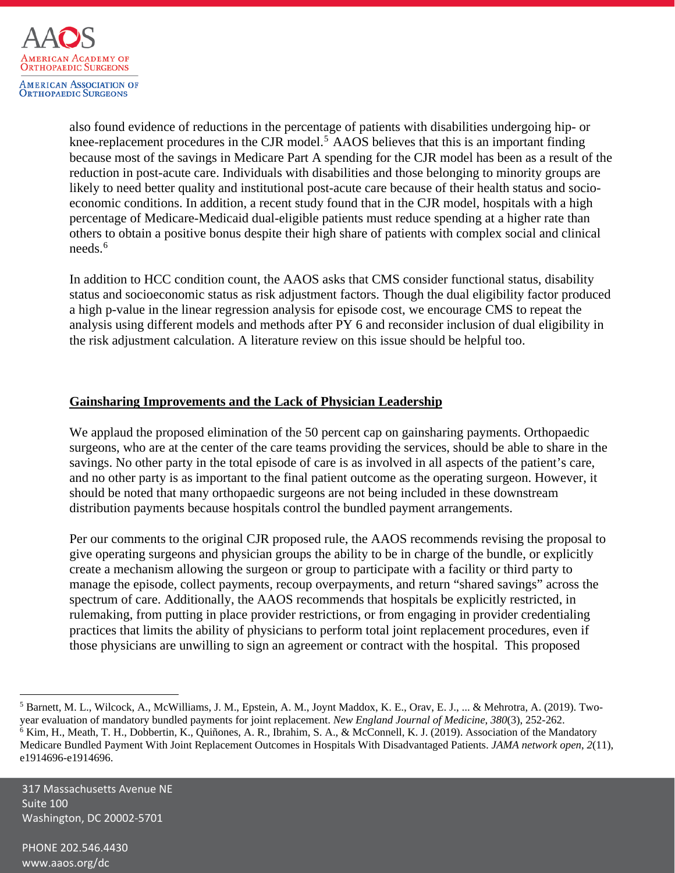

also found evidence of reductions in the percentage of patients with disabilities undergoing hip- or knee-replacement procedures in the CJR model.<sup>[5](#page-4-0)</sup> AAOS believes that this is an important finding because most of the savings in Medicare Part A spending for the CJR model has been as a result of the reduction in post-acute care. Individuals with disabilities and those belonging to minority groups are likely to need better quality and institutional post-acute care because of their health status and socioeconomic conditions. In addition, a recent study found that in the CJR model, hospitals with a high percentage of Medicare-Medicaid dual-eligible patients must reduce spending at a higher rate than others to obtain a positive bonus despite their high share of patients with complex social and clinical needs.[6](#page-4-1)

In addition to HCC condition count, the AAOS asks that CMS consider functional status, disability status and socioeconomic status as risk adjustment factors. Though the dual eligibility factor produced a high p-value in the linear regression analysis for episode cost, we encourage CMS to repeat the analysis using different models and methods after PY 6 and reconsider inclusion of dual eligibility in the risk adjustment calculation. A literature review on this issue should be helpful too.

### **Gainsharing Improvements and the Lack of Physician Leadership**

We applaud the proposed elimination of the 50 percent cap on gains haring payments. Orthopaedic surgeons, who are at the center of the care teams providing the services, should be able to share in the savings. No other party in the total episode of care is as involved in all aspects of the patient's care, and no other party is as important to the final patient outcome as the operating surgeon. However, it should be noted that many orthopaedic surgeons are not being included in these downstream distribution payments because hospitals control the bundled payment arrangements.

Per our comments to the original CJR proposed rule, the AAOS recommends revising the proposal to give operating surgeons and physician groups the ability to be in charge of the bundle, or explicitly create a mechanism allowing the surgeon or group to participate with a facility or third party to manage the episode, collect payments, recoup overpayments, and return "shared savings" across the spectrum of care. Additionally, the AAOS recommends that hospitals be explicitly restricted, in rulemaking, from putting in place provider restrictions, or from engaging in provider credentialing practices that limits the ability of physicians to perform total joint replacement procedures, even if those physicians are unwilling to sign an agreement or contract with the hospital. This proposed

317 Massachusetts Avenue NE Suite 100 Washington, DC 20002-5701

<span id="page-4-1"></span><span id="page-4-0"></span> $^5$  Barnett, M. L., Wilcock, A., McWilliams, J. M., Epstein, A. M., Joynt Maddox, K. E., Orav, E. J., ... & Mehrotra, A. (2019). Twoyear evaluation of mandatory bundled payments for joint replacement. *New England Journal of Medicine*, *380*(3), 252-262. <sup>6</sup> Kim, H., Meath, T. H., Dobbertin, K., Quiñones, A. R., Ibrahim, S. A., & McConnell, K. J. (2019). Association of the Mandatory Medicare Bundled Payment With Joint Replacement Outcomes in Hospitals With Disadvantaged Patients. *JAMA network open*, *2*(11), e1914696-e1914696.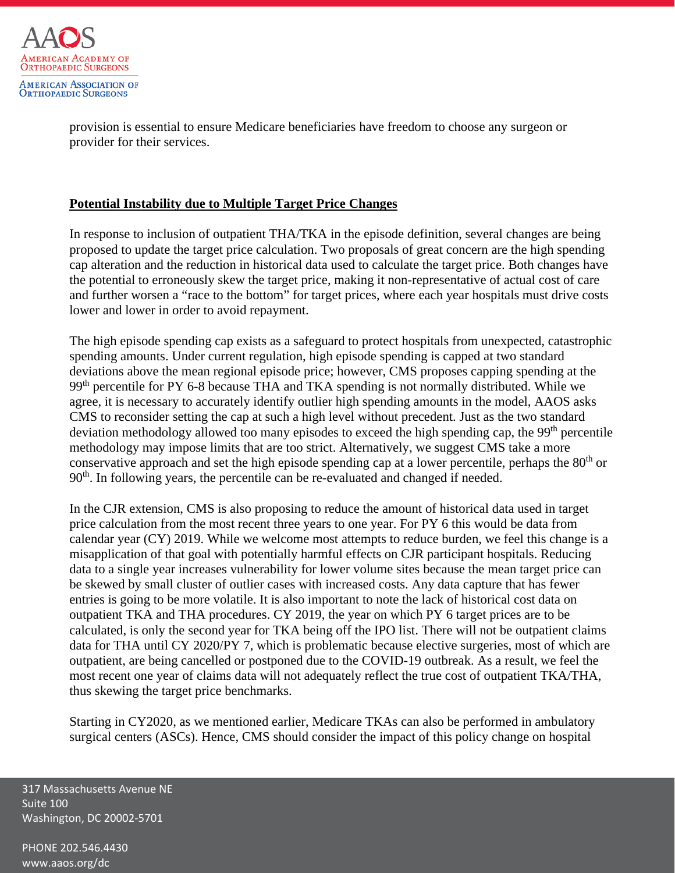

provision is essential to ensure Medicare beneficiaries have freedom to choose any surgeon or provider for their services.

### **Potential Instability due to Multiple Target Price Changes**

In response to inclusion of outpatient THA/TKA in the episode definition, several changes are being proposed to update the target price calculation. Two proposals of great concern are the high spending cap alteration and the reduction in historical data used to calculate the target price. Both changes have the potential to erroneously skew the target price, making it non-representative of actual cost of care and further worsen a "race to the bottom" for target prices, where each year hospitals must drive costs lower and lower in order to avoid repayment.

The high episode spending cap exists as a safeguard to protect hospitals from unexpected, catastrophic spending amounts. Under current regulation, high episode spending is capped at two standard deviations above the mean regional episode price; however, CMS proposes capping spending at the 99<sup>th</sup> percentile for PY 6-8 because THA and TKA spending is not normally distributed. While we agree, it is necessary to accurately identify outlier high spending amounts in the model, AAOS asks CMS to reconsider setting the cap at such a high level without precedent. Just as the two standard deviation methodology allowed too many episodes to exceed the high spending cap, the 99<sup>th</sup> percentile methodology may impose limits that are too strict. Alternatively, we suggest CMS take a more conservative approach and set the high episode spending cap at a lower percentile, perhaps the  $80<sup>th</sup>$  or  $90<sup>th</sup>$ . In following years, the percentile can be re-evaluated and changed if needed.

In the CJR extension, CMS is also proposing to reduce the amount of historical data used in target price calculation from the most recent three years to one year. For PY 6 this would be data from calendar year (CY) 2019. While we welcome most attempts to reduce burden, we feel this change is a misapplication of that goal with potentially harmful effects on CJR participant hospitals. Reducing data to a single year increases vulnerability for lower volume sites because the mean target price can be skewed by small cluster of outlier cases with increased costs. Any data capture that has fewer entries is going to be more volatile. It is also important to note the lack of historical cost data on outpatient TKA and THA procedures. CY 2019, the year on which PY 6 target prices are to be calculated, is only the second year for TKA being off the IPO list. There will not be outpatient claims data for THA until CY 2020/PY 7, which is problematic because elective surgeries, most of which are outpatient, are being cancelled or postponed due to the COVID-19 outbreak. As a result, we feel the most recent one year of claims data will not adequately reflect the true cost of outpatient TKA/THA, thus skewing the target price benchmarks.

Starting in CY2020, as we mentioned earlier, Medicare TKAs can also be performed in ambulatory surgical centers (ASCs). Hence, CMS should consider the impact of this policy change on hospital

317 Massachusetts Avenue NE Suite 100 Washington, DC 20002-5701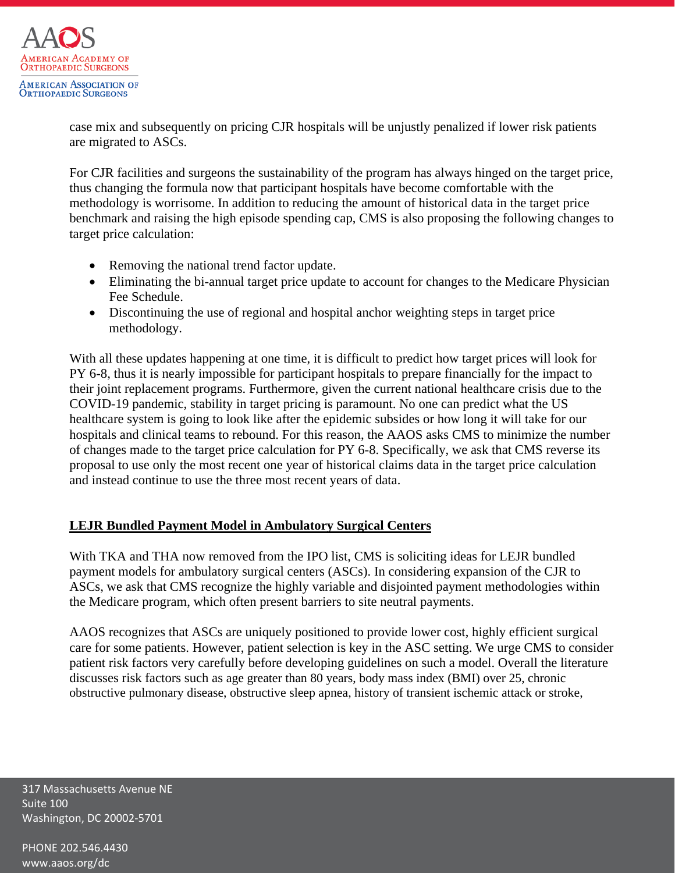

case mix and subsequently on pricing CJR hospitals will be unjustly penalized if lower risk patients are migrated to ASCs.

For CJR facilities and surgeons the sustainability of the program has always hinged on the target price, thus changing the formula now that participant hospitals have become comfortable with the methodology is worrisome. In addition to reducing the amount of historical data in the target price benchmark and raising the high episode spending cap, CMS is also proposing the following changes to target price calculation:

- Removing the national trend factor update.
- Eliminating the bi-annual target price update to account for changes to the Medicare Physician Fee Schedule.
- Discontinuing the use of regional and hospital anchor weighting steps in target price methodology.

With all these updates happening at one time, it is difficult to predict how target prices will look for PY 6-8, thus it is nearly impossible for participant hospitals to prepare financially for the impact to their joint replacement programs. Furthermore, given the current national healthcare crisis due to the COVID-19 pandemic, stability in target pricing is paramount. No one can predict what the US healthcare system is going to look like after the epidemic subsides or how long it will take for our hospitals and clinical teams to rebound. For this reason, the AAOS asks CMS to minimize the number of changes made to the target price calculation for PY 6-8. Specifically, we ask that CMS reverse its proposal to use only the most recent one year of historical claims data in the target price calculation and instead continue to use the three most recent years of data.

## **LEJR Bundled Payment Model in Ambulatory Surgical Centers**

With TKA and THA now removed from the IPO list, CMS is soliciting ideas for LEJR bundled payment models for ambulatory surgical centers (ASCs). In considering expansion of the CJR to ASCs, we ask that CMS recognize the highly variable and disjointed payment methodologies within the Medicare program, which often present barriers to site neutral payments.

AAOS recognizes that ASCs are uniquely positioned to provide lower cost, highly efficient surgical care for some patients. However, patient selection is key in the ASC setting. We urge CMS to consider patient risk factors very carefully before developing guidelines on such a model. Overall the literature discusses risk factors such as age greater than 80 years, body mass index (BMI) over 25, chronic obstructive pulmonary disease, obstructive sleep apnea, history of transient ischemic attack or stroke,

317 Massachusetts Avenue NE Suite 100 Washington, DC 20002-5701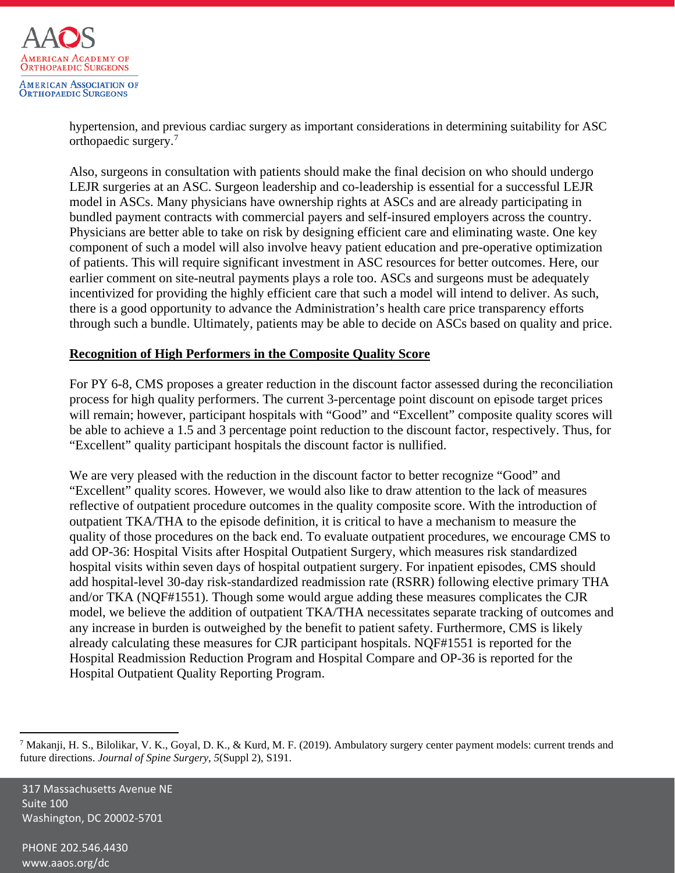

hypertension, and previous cardiac surgery as important considerations in determining suitability for ASC orthopaedic surgery.[7](#page-7-0)

Also, surgeons in consultation with patients should make the final decision on who should undergo LEJR surgeries at an ASC. Surgeon leadership and co-leadership is essential for a successful LEJR model in ASCs. Many physicians have ownership rights at ASCs and are already participating in bundled payment contracts with commercial payers and self-insured employers across the country. Physicians are better able to take on risk by designing efficient care and eliminating waste. One key component of such a model will also involve heavy patient education and pre-operative optimization of patients. This will require significant investment in ASC resources for better outcomes. Here, our earlier comment on site-neutral payments plays a role too. ASCs and surgeons must be adequately incentivized for providing the highly efficient care that such a model will intend to deliver. As such, there is a good opportunity to advance the Administration's health care price transparency efforts through such a bundle. Ultimately, patients may be able to decide on ASCs based on quality and price.

### **Recognition of High Performers in the Composite Quality Score**

For PY 6-8, CMS proposes a greater reduction in the discount factor assessed during the reconciliation process for high quality performers. The current 3-percentage point discount on episode target prices will remain; however, participant hospitals with "Good" and "Excellent" composite quality scores will be able to achieve a 1.5 and 3 percentage point reduction to the discount factor, respectively. Thus, for "Excellent" quality participant hospitals the discount factor is nullified.

We are very pleased with the reduction in the discount factor to better recognize "Good" and "Excellent" quality scores. However, we would also like to draw attention to the lack of measures reflective of outpatient procedure outcomes in the quality composite score. With the introduction of outpatient TKA/THA to the episode definition, it is critical to have a mechanism to measure the quality of those procedures on the back end. To evaluate outpatient procedures, we encourage CMS to add OP-36: Hospital Visits after Hospital Outpatient Surgery, which measures risk standardized hospital visits within seven days of hospital outpatient surgery. For inpatient episodes, CMS should add hospital-level 30-day risk-standardized readmission rate (RSRR) following elective primary THA and/or TKA (NQF#1551). Though some would argue adding these measures complicates the CJR model, we believe the addition of outpatient TKA/THA necessitates separate tracking of outcomes and any increase in burden is outweighed by the benefit to patient safety. Furthermore, CMS is likely already calculating these measures for CJR participant hospitals. NQF#1551 is reported for the Hospital Readmission Reduction Program and Hospital Compare and OP-36 is reported for the Hospital Outpatient Quality Reporting Program.

317 Massachusetts Avenue NE Suite 100 Washington, DC 20002-5701

<span id="page-7-0"></span><sup>&</sup>lt;sup>7</sup> Makanji, H. S., Bilolikar, V. K., Goyal, D. K., & Kurd, M. F. (2019). Ambulatory surgery center payment models: current trends and future directions. *Journal of Spine Surgery*, *5*(Suppl 2), S191.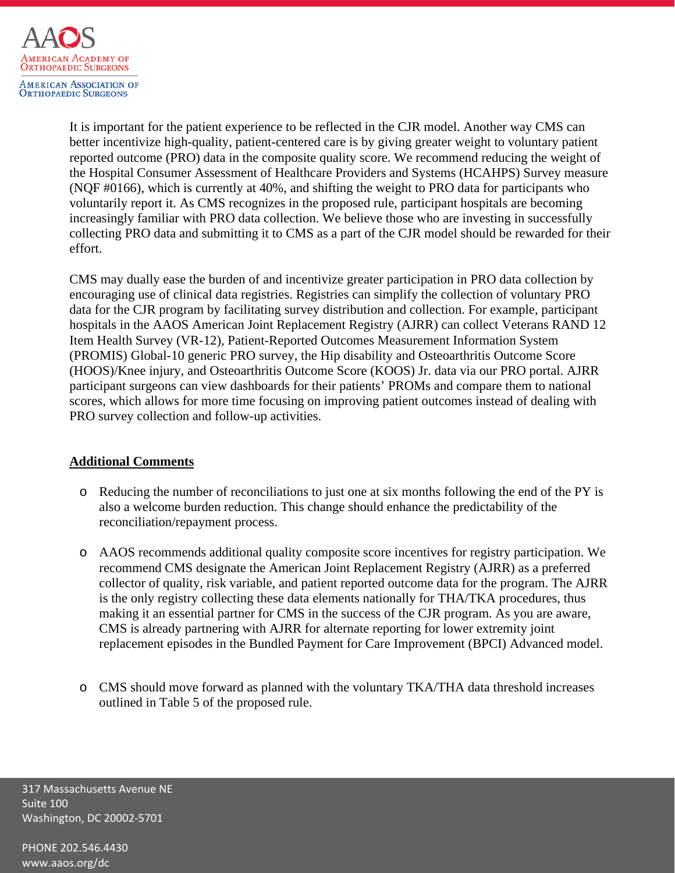

It is important for the patient experience to be reflected in the CJR model. Another way CMS can better incentivize high-quality, patient-centered care is by giving greater weight to voluntary patient reported outcome (PRO) data in the composite quality score. We recommend reducing the weight of the Hospital Consumer Assessment of Healthcare Providers and Systems (HCAHPS) Survey measure (NQF #0166), which is currently at 40%, and shifting the weight to PRO data for participants who voluntarily report it. As CMS recognizes in the proposed rule, participant hospitals are becoming increasingly familiar with PRO data collection. We believe those who are investing in successfully collecting PRO data and submitting it to CMS as a part of the CJR model should be rewarded for their effort.

CMS may dually ease the burden of and incentivize greater participation in PRO data collection by encouraging use of clinical data registries. Registries can simplify the collection of voluntary PRO data for the CJR program by facilitating survey distribution and collection. For example, participant hospitals in the AAOS American Joint Replacement Registry (AJRR) can collect Veterans RAND 12 Item Health Survey (VR-12), Patient-Reported Outcomes Measurement Information System (PROMIS) Global-10 generic PRO survey, the Hip disability and Osteoarthritis Outcome Score (HOOS)/Knee injury, and Osteoarthritis Outcome Score (KOOS) Jr. data via our PRO portal. AJRR participant surgeons can view dashboards for their patients' PROMs and compare them to national scores, which allows for more time focusing on improving patient outcomes instead of dealing with PRO survey collection and follow-up activities.

### **Additional Comments**

- o Reducing the number of reconciliations to just one at six months following the end of the PY is also a welcome burden reduction. This change should enhance the predictability of the reconciliation/repayment process.
- o AAOS recommends additional quality composite score incentives for registry participation. We recommend CMS designate the American Joint Replacement Registry (AJRR) as a preferred collector of quality, risk variable, and patient reported outcome data for the program. The AJRR is the only registry collecting these data elements nationally for THA/TKA procedures, thus making it an essential partner for CMS in the success of the CJR program. As you are aware, CMS is already partnering with AJRR for alternate reporting for lower extremity joint replacement episodes in the Bundled Payment for Care Improvement (BPCI) Advanced model.
- o CMS should move forward as planned with the voluntary TKA/THA data threshold increases outlined in Table 5 of the proposed rule.

317 Massachusetts Avenue NE Suite 100 Washington, DC 20002-5701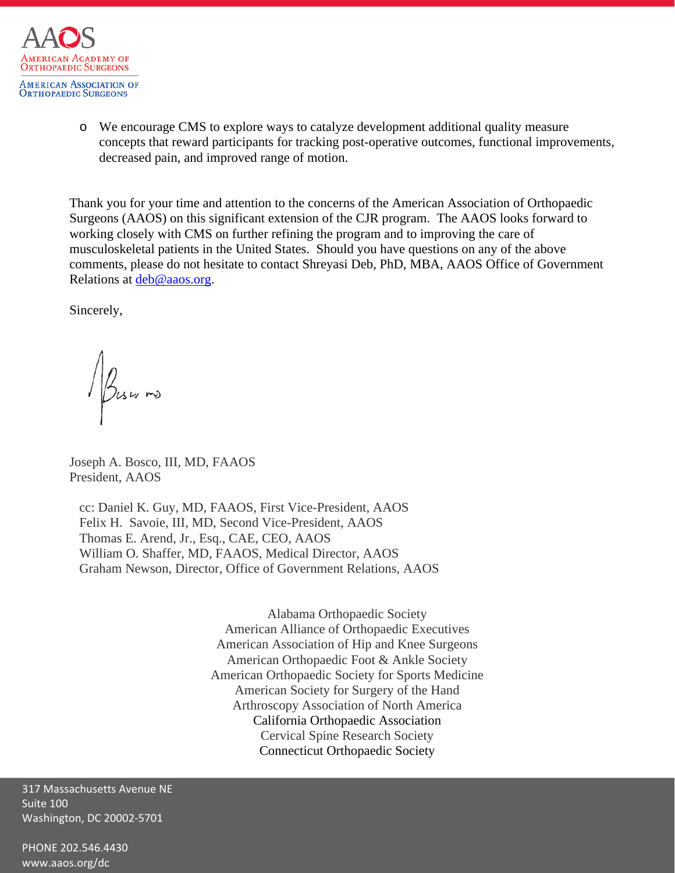

o We encourage CMS to explore ways to catalyze development additional quality measure concepts that reward participants for tracking post-operative outcomes, functional improvements, decreased pain, and improved range of motion.

Thank you for your time and attention to the concerns of the American Association of Orthopaedic Surgeons (AAOS) on this significant extension of the CJR program. The AAOS looks forward to working closely with CMS on further refining the program and to improving the care of musculoskeletal patients in the United States. Should you have questions on any of the above comments, please do not hesitate to contact Shreyasi Deb, PhD, MBA, AAOS Office of Government Relations at [deb@aaos.org.](mailto:deb@aaos.org)

Sincerely,

Business

Joseph A. Bosco, III, MD, FAAOS President, AAOS

 cc: Daniel K. Guy, MD, FAAOS, First Vice-President, AAOS Felix H. Savoie, III, MD, Second Vice-President, AAOS Thomas E. Arend, Jr., Esq., CAE, CEO, AAOS William O. Shaffer, MD, FAAOS, Medical Director, AAOS Graham Newson, Director, Office of Government Relations, AAOS

> Alabama Orthopaedic Society American Alliance of Orthopaedic Executives American Association of Hip and Knee Surgeons American Orthopaedic Foot & Ankle Society American Orthopaedic Society for Sports Medicine American Society for Surgery of the Hand Arthroscopy Association of North America California Orthopaedic Association Cervical Spine Research Society Connecticut Orthopaedic Society

317 Massachusetts Avenue NE Suite 100 Washington, DC 20002-5701